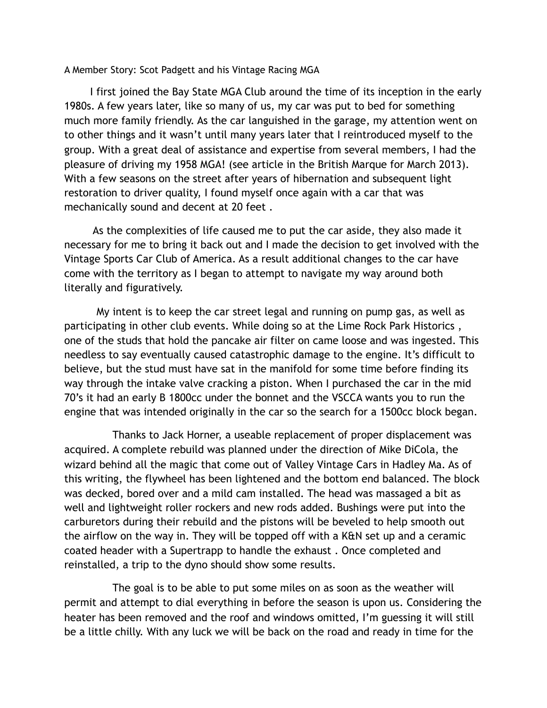A Member Story: Scot Padgett and his Vintage Racing MGA

 I first joined the Bay State MGA Club around the time of its inception in the early 1980s. A few years later, like so many of us, my car was put to bed for something much more family friendly. As the car languished in the garage, my attention went on to other things and it wasn't until many years later that I reintroduced myself to the group. With a great deal of assistance and expertise from several members, I had the pleasure of driving my 1958 MGA! (see article in the British Marque for March 2013). With a few seasons on the street after years of hibernation and subsequent light restoration to driver quality, I found myself once again with a car that was mechanically sound and decent at 20 feet .

 As the complexities of life caused me to put the car aside, they also made it necessary for me to bring it back out and I made the decision to get involved with the Vintage Sports Car Club of America. As a result additional changes to the car have come with the territory as I began to attempt to navigate my way around both literally and figuratively.

 My intent is to keep the car street legal and running on pump gas, as well as participating in other club events. While doing so at the Lime Rock Park Historics , one of the studs that hold the pancake air filter on came loose and was ingested. This needless to say eventually caused catastrophic damage to the engine. It's difficult to believe, but the stud must have sat in the manifold for some time before finding its way through the intake valve cracking a piston. When I purchased the car in the mid 70's it had an early B 1800cc under the bonnet and the VSCCA wants you to run the engine that was intended originally in the car so the search for a 1500cc block began.

 Thanks to Jack Horner, a useable replacement of proper displacement was acquired. A complete rebuild was planned under the direction of Mike DiCola, the wizard behind all the magic that come out of Valley Vintage Cars in Hadley Ma. As of this writing, the flywheel has been lightened and the bottom end balanced. The block was decked, bored over and a mild cam installed. The head was massaged a bit as well and lightweight roller rockers and new rods added. Bushings were put into the carburetors during their rebuild and the pistons will be beveled to help smooth out the airflow on the way in. They will be topped off with a K&N set up and a ceramic coated header with a Supertrapp to handle the exhaust . Once completed and reinstalled, a trip to the dyno should show some results.

 The goal is to be able to put some miles on as soon as the weather will permit and attempt to dial everything in before the season is upon us. Considering the heater has been removed and the roof and windows omitted, I'm guessing it will still be a little chilly. With any luck we will be back on the road and ready in time for the